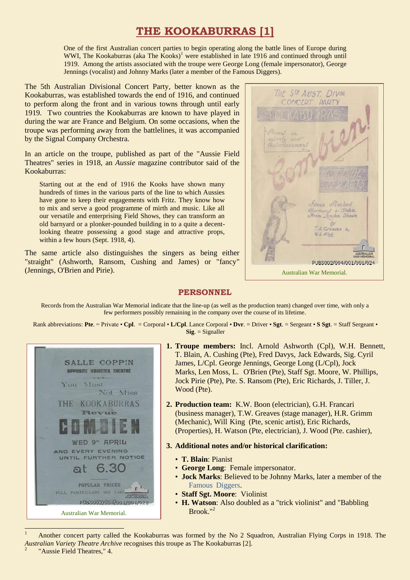## **THE KOOKABURRAS [1]**

One of the first Australian concert parties to begin operating along the battle lines of Europe during WWI, The Kookaburras (aka The Kooks)<sup>1</sup> were established in late 1916 and continued through until 1919. Among the artists associated with the troupe were George Long (female impersonator), George Jennings (vocalist) and Johnny Marks (later a member of the Famous Diggers).

The 5th Australian Divisional Concert Party, better known as the Kookaburras, was established towards the end of 1916, and continued to perform along the front and in various towns through until early 1919. Two countries the Kookaburras are known to have played in during the war are France and Belgium. On some occasions, when the troupe was performing away from the battlelines, it was accompanied by the Signal Company Orchestra.

In an article on the troupe, published as part of the "Aussie Field Theatres" series in 1918, an *Aussie* magazine contributor said of the Kookaburras:

Starting out at the end of 1916 the Kooks have shown many hundreds of times in the various parts of the line to which Aussies have gone to keep their engagements with Fritz. They know how to mix and serve a good programme of mirth and music. Like all our versatile and enterprising Field Shows, they can transform an old barnyard or a plonker-pounded building in to a quite a decentlooking theatre possessing a good stage and attractive props, within a few hours (Sept. 1918, 4).

The same article also distinguishes the singers as being either "straight" (Ashworth, Ransom, Cushing and James) or "fancy" (Jennings, O'Brien and Pirie).

5th AUST DIVIL PARTY Adeus Prached Jondon Shows BY 7. A. Greaves 4, W.L. Hine PUBS002/004/001/001/024 Australian War Memorial.

## **PERSONNEL**

Records from the Australian War Memorial indicate that the line-up (as well as the production team) changed over time, with only a few performers possibly remaining in the company over the course of its lifetime.

Rank abbreviations: **Pte**. = Private • **Cpl**. = Corporal • **L/Cpl**. Lance Corporal • **Dvr**. = Driver • **Sgt**. = Sergeant • **S Sgt**. = Staff Sergeant • **Sig**. = Signaller



- **1. Troupe members:** Incl. Arnold Ashworth (Cpl), W.H. Bennett, T. Blain, A. Cushing (Pte), Fred Davys, Jack Edwards, Sig. Cyril James, L/Cpl. George Jennings, George Long (L/Cpl), Jock Marks, Len Moss, L. O'Brien (Pte), Staff Sgt. Moore, W. Phillips, Jock Pirie (Pte), Pte. S. Ransom (Pte), Eric Richards, J. Tiller, J. Wood (Pte).
- **2. Production team:** K.W. Boon (electrician), G.H. Francari (business manager), T.W. Greaves (stage manager), H.R. Grimm (Mechanic), Will King (Pte, scenic artist), Eric Richards, (Properties), H. Watson (Pte, electrician), J. Wood (Pte. cashier),
- **3. Additional notes and/or historical clarification:** 
	- **T. Blain**: Pianist
	- **George Long**: Female impersonator.
	- **Jock Marks**: Believed to be Johnny Marks, later a member of the [Famous Diggers.](https://ozvta.com/troupes-digger-companies/)
	- **Staff Sgt. Moore**: Violinist
	- **H. Watson**: Also doubled as a "trick violinist" and "Babbling Brook." 2

<sup>1</sup> Another concert party called the Kookaburras was formed by the No 2 Squadron, Australian Flying Corps in 1918. The *Australian Variety Theatre Archive* recognises this troupe as The Kookaburras [2]. 2